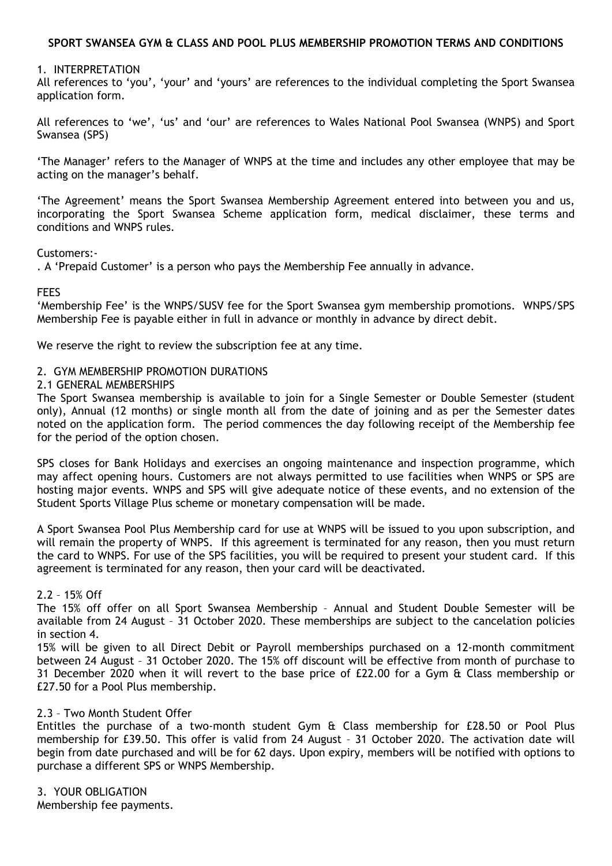# **SPORT SWANSEA GYM & CLASS AND POOL PLUS MEMBERSHIP PROMOTION TERMS AND CONDITIONS**

### 1. INTERPRETATION

All references to 'you', 'your' and 'yours' are references to the individual completing the Sport Swansea application form.

All references to 'we', 'us' and 'our' are references to Wales National Pool Swansea (WNPS) and Sport Swansea (SPS)

'The Manager' refers to the Manager of WNPS at the time and includes any other employee that may be acting on the manager's behalf.

'The Agreement' means the Sport Swansea Membership Agreement entered into between you and us, incorporating the Sport Swansea Scheme application form, medical disclaimer, these terms and conditions and WNPS rules.

### Customers:-

. A 'Prepaid Customer' is a person who pays the Membership Fee annually in advance.

**FFFS** 

'Membership Fee' is the WNPS/SUSV fee for the Sport Swansea gym membership promotions. WNPS/SPS Membership Fee is payable either in full in advance or monthly in advance by direct debit.

We reserve the right to review the subscription fee at any time.

### 2. GYM MEMBERSHIP PROMOTION DURATIONS

### 2.1 GENERAL MEMBERSHIPS

The Sport Swansea membership is available to join for a Single Semester or Double Semester (student only), Annual (12 months) or single month all from the date of joining and as per the Semester dates noted on the application form. The period commences the day following receipt of the Membership fee for the period of the option chosen.

SPS closes for Bank Holidays and exercises an ongoing maintenance and inspection programme, which may affect opening hours. Customers are not always permitted to use facilities when WNPS or SPS are hosting major events. WNPS and SPS will give adequate notice of these events, and no extension of the Student Sports Village Plus scheme or monetary compensation will be made.

A Sport Swansea Pool Plus Membership card for use at WNPS will be issued to you upon subscription, and will remain the property of WNPS. If this agreement is terminated for any reason, then you must return the card to WNPS. For use of the SPS facilities, you will be required to present your student card. If this agreement is terminated for any reason, then your card will be deactivated.

### 2.2 – 15% Off

The 15% off offer on all Sport Swansea Membership – Annual and Student Double Semester will be available from 24 August – 31 October 2020. These memberships are subject to the cancelation policies in section 4.

15% will be given to all Direct Debit or Payroll memberships purchased on a 12-month commitment between 24 August – 31 October 2020. The 15% off discount will be effective from month of purchase to 31 December 2020 when it will revert to the base price of £22.00 for a Gym & Class membership or £27.50 for a Pool Plus membership.

### 2.3 – Two Month Student Offer

Entitles the purchase of a two-month student Gym & Class membership for £28.50 or Pool Plus membership for £39.50. This offer is valid from 24 August – 31 October 2020. The activation date will begin from date purchased and will be for 62 days. Upon expiry, members will be notified with options to purchase a different SPS or WNPS Membership.

3. YOUR OBLIGATION

Membership fee payments.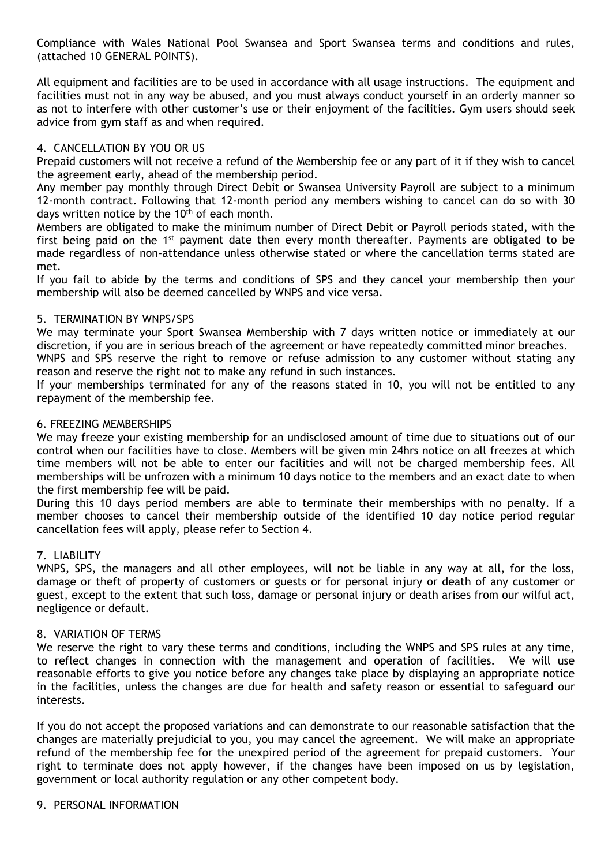Compliance with Wales National Pool Swansea and Sport Swansea terms and conditions and rules, (attached 10 GENERAL POINTS).

All equipment and facilities are to be used in accordance with all usage instructions. The equipment and facilities must not in any way be abused, and you must always conduct yourself in an orderly manner so as not to interfere with other customer's use or their enjoyment of the facilities. Gym users should seek advice from gym staff as and when required.

# 4. CANCELLATION BY YOU OR US

Prepaid customers will not receive a refund of the Membership fee or any part of it if they wish to cancel the agreement early, ahead of the membership period.

Any member pay monthly through Direct Debit or Swansea University Payroll are subject to a minimum 12-month contract. Following that 12-month period any members wishing to cancel can do so with 30 days written notice by the 10<sup>th</sup> of each month.

Members are obligated to make the minimum number of Direct Debit or Payroll periods stated, with the first being paid on the 1<sup>st</sup> payment date then every month thereafter. Payments are obligated to be made regardless of non-attendance unless otherwise stated or where the cancellation terms stated are met.

If you fail to abide by the terms and conditions of SPS and they cancel your membership then your membership will also be deemed cancelled by WNPS and vice versa.

## 5. TERMINATION BY WNPS/SPS

We may terminate your Sport Swansea Membership with 7 days written notice or immediately at our discretion, if you are in serious breach of the agreement or have repeatedly committed minor breaches.

WNPS and SPS reserve the right to remove or refuse admission to any customer without stating any reason and reserve the right not to make any refund in such instances.

If your memberships terminated for any of the reasons stated in 10, you will not be entitled to any repayment of the membership fee.

## 6. FREEZING MEMBERSHIPS

We may freeze your existing membership for an undisclosed amount of time due to situations out of our control when our facilities have to close. Members will be given min 24hrs notice on all freezes at which time members will not be able to enter our facilities and will not be charged membership fees. All memberships will be unfrozen with a minimum 10 days notice to the members and an exact date to when the first membership fee will be paid.

During this 10 days period members are able to terminate their memberships with no penalty. If a member chooses to cancel their membership outside of the identified 10 day notice period regular cancellation fees will apply, please refer to Section 4.

# 7. LIABILITY

WNPS, SPS, the managers and all other employees, will not be liable in any way at all, for the loss, damage or theft of property of customers or guests or for personal injury or death of any customer or guest, except to the extent that such loss, damage or personal injury or death arises from our wilful act, negligence or default.

# 8. VARIATION OF TERMS

We reserve the right to vary these terms and conditions, including the WNPS and SPS rules at any time, to reflect changes in connection with the management and operation of facilities. We will use reasonable efforts to give you notice before any changes take place by displaying an appropriate notice in the facilities, unless the changes are due for health and safety reason or essential to safeguard our interests.

If you do not accept the proposed variations and can demonstrate to our reasonable satisfaction that the changes are materially prejudicial to you, you may cancel the agreement. We will make an appropriate refund of the membership fee for the unexpired period of the agreement for prepaid customers. Your right to terminate does not apply however, if the changes have been imposed on us by legislation, government or local authority regulation or any other competent body.

### 9. PERSONAL INFORMATION